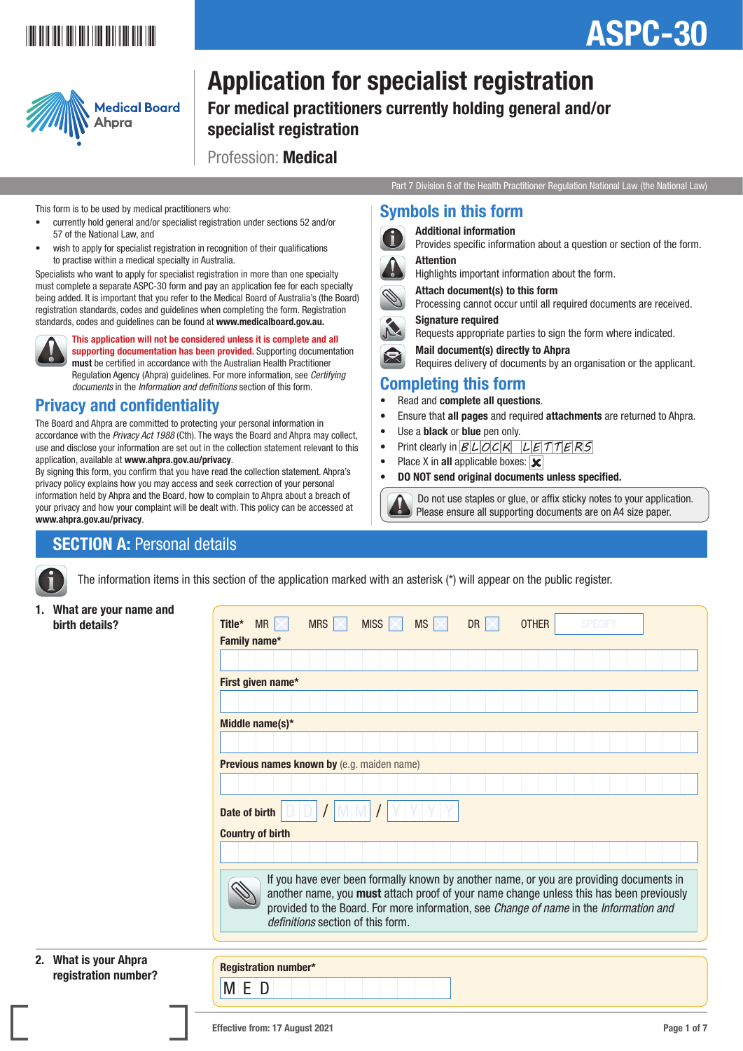# \*ASPC-301\*

# ASPC-30



# Application for specialist registration

For medical practitioners currently holding general and/or specialist registration

> Symbols in this form Additional information

> > Signature required

Completing this form • Read and complete all questions.

Use a **black** or **blue** pen only.

• Place X in all applicable boxes:  $\overline{\mathbf{x}}$ 

**Attention** 

Profession: Medical

Part 7 Division 6 of the Health Practitioner Regulation National Law (the National Law)

Provides specific information about a question or section of the form.

Processing cannot occur until all required documents are received.

Requires delivery of documents by an organisation or the applicant.

 Do not use staples or glue, or affix sticky notes to your application. Please ensure all supporting documents are on A4 size paper.

Requests appropriate parties to sign the form where indicated.

• Ensure that all pages and required attachments are returned to Ahpra.

Highlights important information about the form.

Attach document(s) to this form

Mail document(s) directly to Ahpra

• Print clearly in  $BLOCK$   $LETTERS$ 

• DO NOT send original documents unless specified.

#### This form is to be used by medical practitioners who:

- currently hold general and/or specialist registration under sections 52 and/or 57 of the National Law, and
- wish to apply for specialist registration in recognition of their qualifications to practise within a medical specialty in Australia.

Specialists who want to apply for specialist registration in more than one specialty must complete a separate ASPC-30 form and pay an application fee for each specialty being added. It is important that you refer to the Medical Board of Australia's (the Board) registration standards, codes and guidelines when completing the form. Registration standards, codes and guidelines can be found at [www.medicalboard.gov.au](https://www.medicalboard.gov.au).



This application will not be considered unless it is complete and all supporting documentation has been provided. Supporting documentation must be certified in accordance with the Australian Health Practitioner Regulation Agency (Ahpra) guidelines. For more information, see *Certifying documents* in the *Information and definitions* section of this form.

### Privacy and confidentiality

The Board and Ahpra are committed to protecting your personal information in accordance with the *Privacy Act 1988* (Cth). The ways the Board and Ahpra may collect, use and disclose your information are set out in the collection statement relevant to this application, available at [www.ahpra.gov.au/privacy](https://www.ahpra.gov.au/privacy).

By signing this form, you confirm that you have read the collection statement. Ahpra's privacy policy explains how you may access and seek correction of your personal information held by Ahpra and the Board, how to complain to Ahpra about a breach of your privacy and how your complaint will be dealt with. This policy can be accessed at [www.ahpra.gov.au/privacy](https://www.ahpra.gov.au/privacy).

### **SECTION A: Personal details**

The information items in this section of the application marked with an asterisk (\*) will appear on the public register.

1. What are your name and

| <b>WHAT ALL AND MANUTES AND ALL AND MANUTES</b><br>birth details? | MRS $ \times $<br>$MS \times$<br>MR $ \times $<br>MISS $ \times $<br><b>DR</b><br><b>OTHER</b><br><b>SPECIFY</b><br>Title*                                                                                                                                                                                        |
|-------------------------------------------------------------------|-------------------------------------------------------------------------------------------------------------------------------------------------------------------------------------------------------------------------------------------------------------------------------------------------------------------|
|                                                                   | Family name*                                                                                                                                                                                                                                                                                                      |
|                                                                   |                                                                                                                                                                                                                                                                                                                   |
|                                                                   | First given name*                                                                                                                                                                                                                                                                                                 |
|                                                                   |                                                                                                                                                                                                                                                                                                                   |
|                                                                   | Middle name(s)*                                                                                                                                                                                                                                                                                                   |
|                                                                   |                                                                                                                                                                                                                                                                                                                   |
|                                                                   | Previous names known by (e.g. maiden name)                                                                                                                                                                                                                                                                        |
|                                                                   |                                                                                                                                                                                                                                                                                                                   |
|                                                                   | Date of birth                                                                                                                                                                                                                                                                                                     |
|                                                                   | <b>Country of birth</b>                                                                                                                                                                                                                                                                                           |
|                                                                   |                                                                                                                                                                                                                                                                                                                   |
|                                                                   | If you have ever been formally known by another name, or you are providing documents in<br>another name, you must attach proof of your name change unless this has been previously<br>provided to the Board. For more information, see Change of name in the Information and<br>definitions section of this form. |
| What is vour Ahnra                                                |                                                                                                                                                                                                                                                                                                                   |

#### 2. What is your Ahpra **Registration number?** Registration number\*<br>
Registration number?

M E D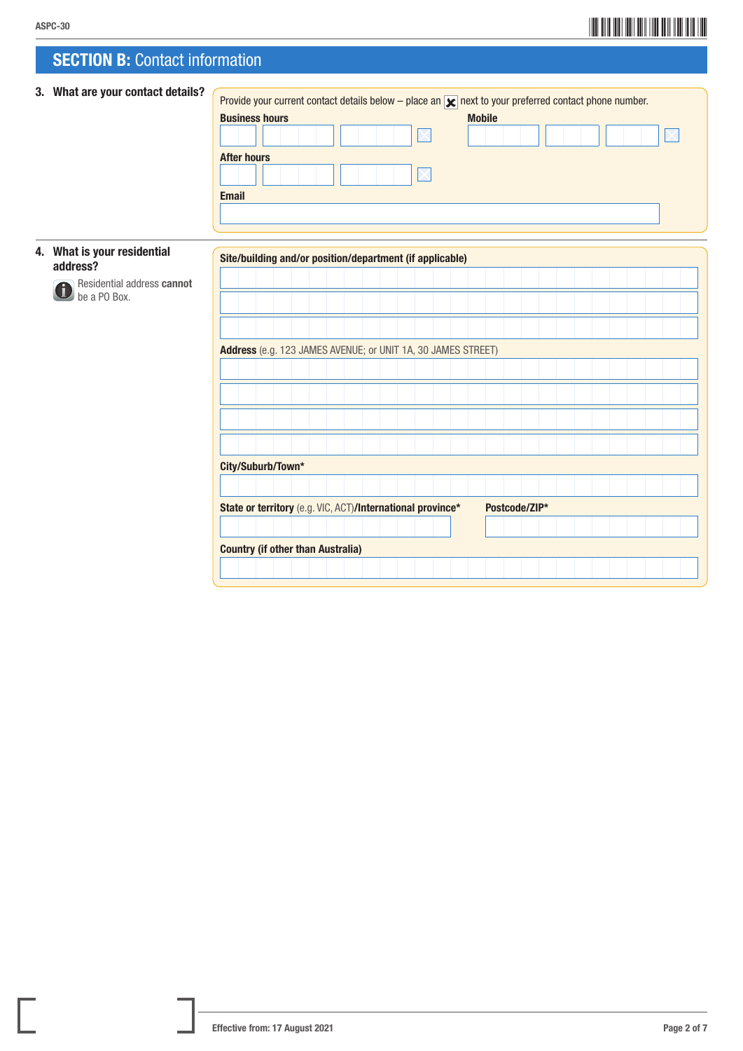# ASPC-30<br>ASPC-30

### **SECTION B: Contact information**

| 3. What are your contact details?          | Provide your current contact details below – place an $\triangleright$ next to your preferred contact phone number. |
|--------------------------------------------|---------------------------------------------------------------------------------------------------------------------|
|                                            | <b>Business hours</b><br><b>Mobile</b>                                                                              |
|                                            |                                                                                                                     |
|                                            | <b>After hours</b>                                                                                                  |
|                                            |                                                                                                                     |
|                                            | <b>Email</b>                                                                                                        |
|                                            |                                                                                                                     |
|                                            |                                                                                                                     |
| 4. What is your residential                | Site/building and/or position/department (if applicable)                                                            |
| address?                                   |                                                                                                                     |
| Residential address cannot<br>be a PO Box. |                                                                                                                     |
|                                            |                                                                                                                     |
|                                            |                                                                                                                     |
|                                            | Address (e.g. 123 JAMES AVENUE; or UNIT 1A, 30 JAMES STREET)                                                        |
|                                            |                                                                                                                     |
|                                            |                                                                                                                     |
|                                            |                                                                                                                     |
|                                            |                                                                                                                     |
|                                            |                                                                                                                     |
|                                            |                                                                                                                     |
|                                            | City/Suburb/Town*                                                                                                   |
|                                            |                                                                                                                     |
|                                            | State or territory (e.g. VIC, ACT)/International province*<br>Postcode/ZIP*                                         |
|                                            |                                                                                                                     |
|                                            |                                                                                                                     |
|                                            | <b>Country (if other than Australia)</b>                                                                            |
|                                            |                                                                                                                     |
|                                            |                                                                                                                     |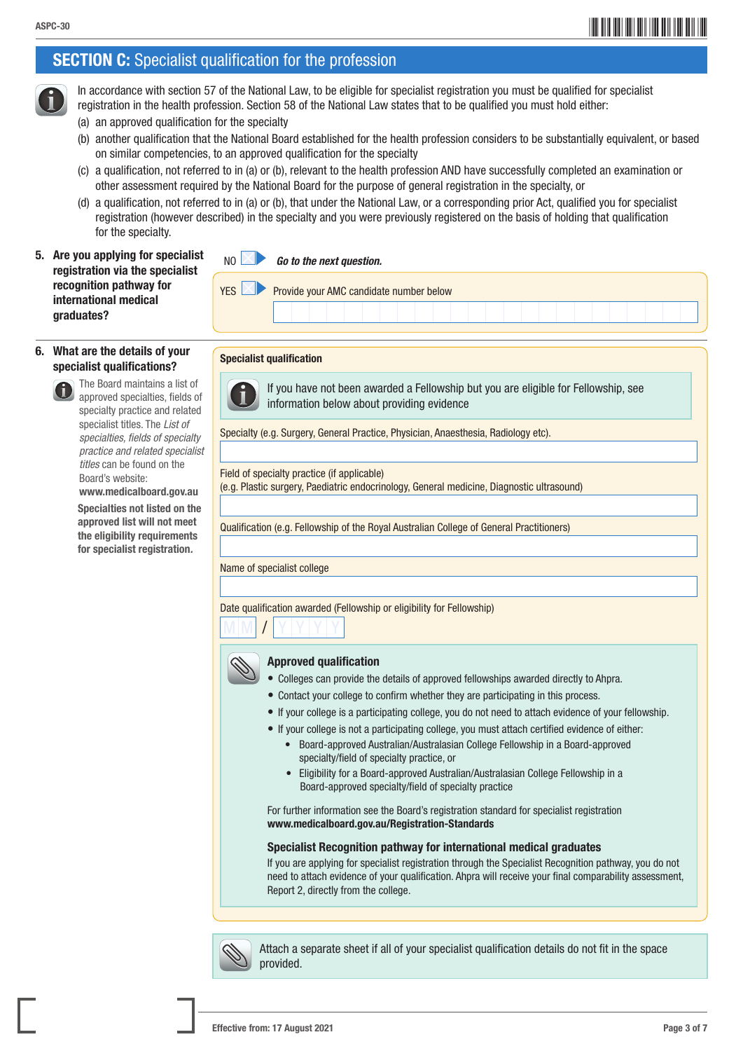# ASPC-30 **ASPC-30** ASPC-30

### **SECTION C:** Specialist qualification for the profession



 In accordance with section 57 of the National Law, to be eligible for specialist registration you must be qualified for specialist registration in the health profession. Section 58 of the National Law states that to be qualified you must hold either: (a) an approved qualification for the specialty

- (b) another qualification that the National Board established for the health profession considers to be substantially equivalent, or based on similar competencies, to an approved qualification for the specialty
- (c) a qualification, not referred to in (a) or (b), relevant to the health profession AND have successfully completed an examination or other assessment required by the National Board for the purpose of general registration in the specialty, or
- (d) a qualification, not referred to in (a) or (b), that under the National Law, or a corresponding prior Act, qualified you for specialist registration (however described) in the specialty and you were previously registered on the basis of holding that qualification for the specialty.
- 5. Are you applying for specialist registration via the specialist recognition pathway for international medical graduates?



#### 6. What are the details of your specialist qualifications?

 The Board maintains a list of approved specialties, fields of specialty practice and related specialist titles. The *List of specialties, fields of specialty practice and related specialist titles* can be found on the Board's website: [www.medicalboard.gov.au](https://www.medicalboard.gov.au)

**Specialties not listed on the** approved list will not meet the eligibility requirements for specialist registration*.*

| $\sqrt{2}$<br>Provide your AMC candidate number below<br>FN |  |  |  |  |  |  |  |  |  |  |  |  |  |  |  |  |  |  |
|-------------------------------------------------------------|--|--|--|--|--|--|--|--|--|--|--|--|--|--|--|--|--|--|
|                                                             |  |  |  |  |  |  |  |  |  |  |  |  |  |  |  |  |  |  |
|                                                             |  |  |  |  |  |  |  |  |  |  |  |  |  |  |  |  |  |  |

#### Specialist qualification



 If you have not been awarded a Fellowship but you are eligible for Fellowship, see information below about providing evidence

Specialty (e.g. Surgery, General Practice, Physician, Anaesthesia, Radiology etc).

#### Field of specialty practice (if applicable)

(e.g. Plastic surgery, Paediatric endocrinology, General medicine, Diagnostic ultrasound)

Qualification (e.g. Fellowship of the Royal Australian College of General Practitioners)

Name of specialist college

Date qualification awarded (Fellowship or eligibility for Fellowship)

### $M$   $M$   $I$   $Y$   $Y$   $Y$   $Y$

#### Approved qualification

- Colleges can provide the details of approved fellowships awarded directly to Ahpra.
- Contact your college to confirm whether they are participating in this process.
- If your college is a participating college, you do not need to attach evidence of your fellowship.
- If your college is not a participating college, you must attach certified evidence of either:
	- Board-approved Australian/Australasian College Fellowship in a Board-approved specialty/field of specialty practice, or
	- Eligibility for a Board-approved Australian/Australasian College Fellowship in a Board-approved specialty/field of specialty practice

 For further information see the Board's registration standard for specialist registration [www.medicalboard.gov.au/Registration-Standards](https://www.medicalboard.gov.au/Registration-Standards.aspx)

#### Specialist Recognition pathway for international medical graduates

If you are applying for specialist registration through the Specialist Recognition pathway, you do not need to attach evidence of your qualification. Ahpra will receive your final comparability assessment, Report 2, directly from the college.



 Attach a separate sheet if all of your specialist qualification details do not fit in the space provided.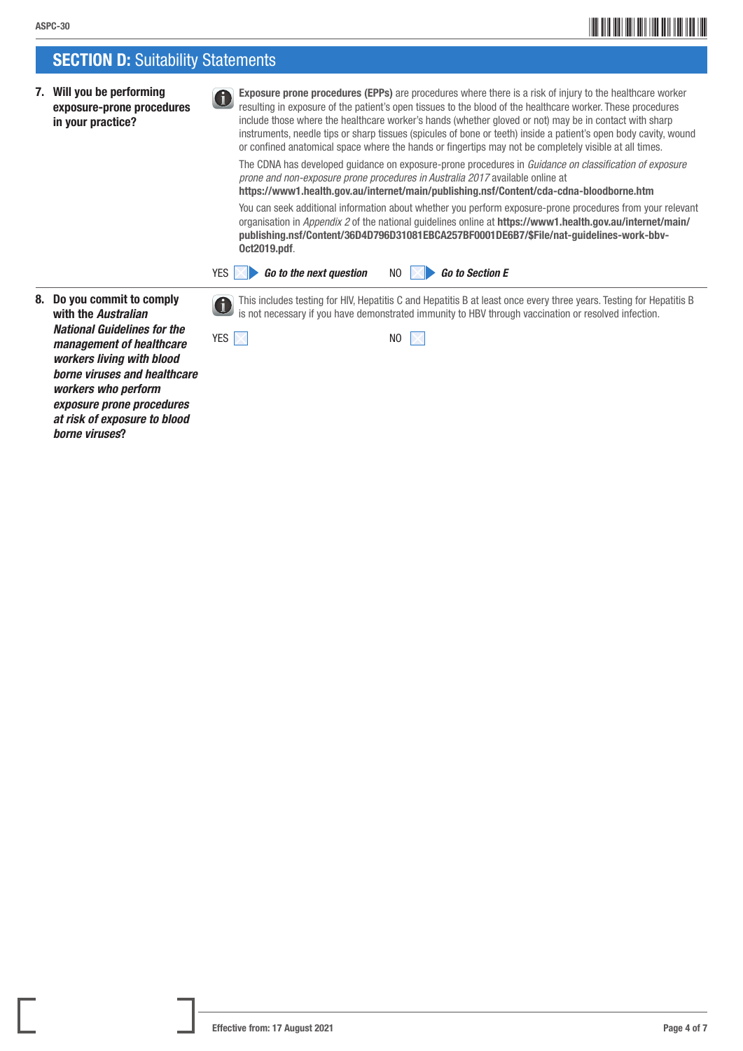### **SECTION D: Suitability Statements**

G)

7. Will you be performing exposure-prone procedures in your practice?

 Exposure prone procedures (EPPs) are procedures where there is a risk of injury to the healthcare worker resulting in exposure of the patient's open tissues to the blood of the healthcare worker. These procedures include those where the healthcare worker's hands (whether gloved or not) may be in contact with sharp instruments, needle tips or sharp tissues (spicules of bone or teeth) inside a patient's open body cavity, wound or confined anatomical space where the hands or fingertips may not be completely visible at all times.

 The CDNA has developed guidance on exposure-prone procedures in *Guidance on classification of exposure prone and non-exposure prone procedures in Australia 2017* available online at

<https://www1.health.gov.au/internet/main/publishing.nsf/Content/cda-cdna-bloodborne.htm>

 You can seek additional information about whether you perform exposure-prone procedures from your relevant organisation in *Appendix 2* of the national guidelines online at [https://www1.health.gov.au/internet/main/](https://www1.health.gov.au/internet/main/publishing.nsf/Content/36D4D796D31081EBCA257BF0001DE6B7/$File/nat-guidelines-work-bbv-Oct2019.pdf) [publishing.nsf/Content/36D4D796D31081EBCA257BF0001DE6B7/\\$File/nat-guidelines-work-bbv-](https://www1.health.gov.au/internet/main/publishing.nsf/Content/36D4D796D31081EBCA257BF0001DE6B7/$File/nat-guidelines-work-bbv-Oct2019.pdf)[Oct2019.pdf](https://www1.health.gov.au/internet/main/publishing.nsf/Content/36D4D796D31081EBCA257BF0001DE6B7/$File/nat-guidelines-work-bbv-Oct2019.pdf).



- 8. Do you commit to comply with the *Australian National Guidelines for the management of healthcare workers living with blood borne viruses and healthcare workers who perform exposure prone procedures at risk of exposure to blood borne viruses*?
- This includes testing for HIV, Hepatitis C and Hepatitis B at least once every three years. Testing for Hepatitis B is not necessary if you have demonstrated immunity to HBV through vaccination or resolved infection.

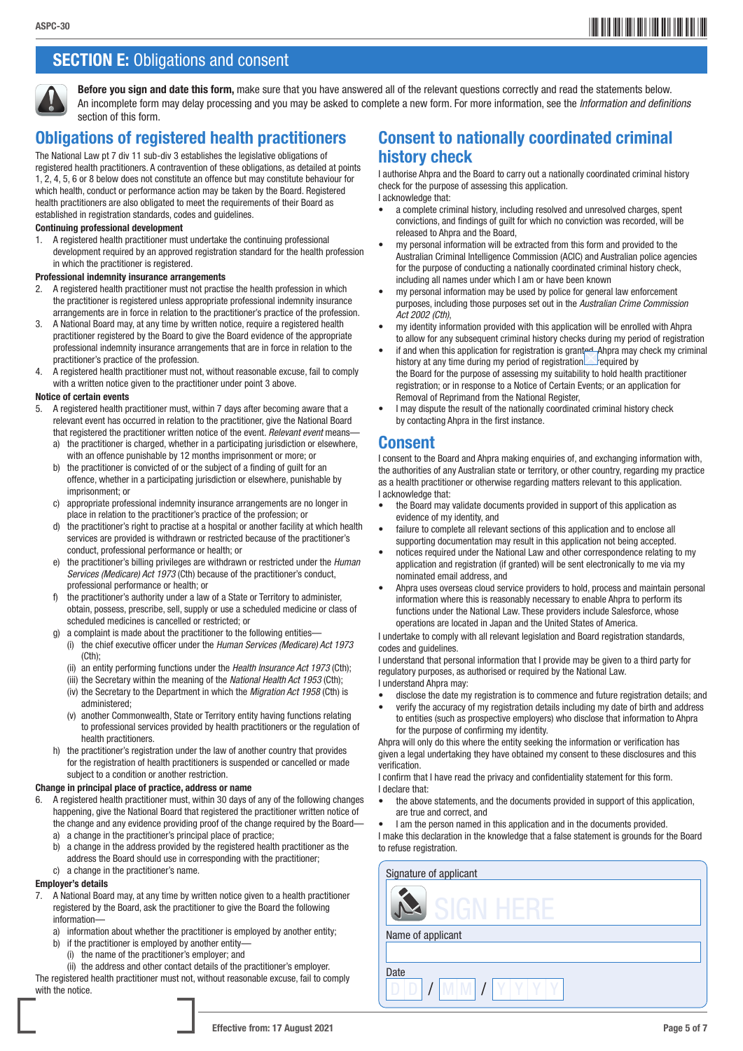## ASPC-30**5** ASPC-305 ASPC-305 ASPC-305 ASPC-305 ASPC-305 ASPC-305 ASPC-305 ASPC-305 ASPC-305 ASPC-305 ASPC-305 ASPC-405 ASPC-405 ASPC-405 ASPC-405 ASPC-405 ASPC-405 ASPC-405 ASPC-405 ASPC-405 ASPC-405 ASPC-405 ASPC-405 ASPC

### **SECTION E: Obligations and consent**



Before you sign and date this form, make sure that you have answered all of the relevant questions correctly and read the statements below. An incomplete form may delay processing and you may be asked to complete a new form. For more information, see the *Information and definitions*  section of this form.

### Obligations of registered health practitioners

The National Law pt 7 div 11 sub-div 3 establishes the legislative obligations of registered health practitioners. A contravention of these obligations, as detailed at points 1, 2, 4, 5, 6 or 8 below does not constitute an offence but may constitute behaviour for which health, conduct or performance action may be taken by the Board. Registered health practitioners are also obligated to meet the requirements of their Board as established in registration standards, codes and guidelines.

#### Continuing professional development

1. A registered health practitioner must undertake the continuing professional development required by an approved registration standard for the health profession in which the practitioner is registered.

#### Professional indemnity insurance arrangements

- 2. A registered health practitioner must not practise the health profession in which the practitioner is registered unless appropriate professional indemnity insurance arrangements are in force in relation to the practitioner's practice of the profession.
- 3. A National Board may, at any time by written notice, require a registered health practitioner registered by the Board to give the Board evidence of the appropriate professional indemnity insurance arrangements that are in force in relation to the practitioner's practice of the profession.
- 4. A registered health practitioner must not, without reasonable excuse, fail to comply with a written notice given to the practitioner under point 3 above.

#### Notice of certain events

- 5. A registered health practitioner must, within 7 days after becoming aware that a relevant event has occurred in relation to the practitioner, give the National Board that registered the practitioner written notice of the event. *Relevant event* means
	- the practitioner is charged, whether in a participating jurisdiction or elsewhere, with an offence punishable by 12 months imprisonment or more; or
	- b) the practitioner is convicted of or the subject of a finding of guilt for an offence, whether in a participating jurisdiction or elsewhere, punishable by imprisonment; or
	- c) appropriate professional indemnity insurance arrangements are no longer in place in relation to the practitioner's practice of the profession; or
	- d) the practitioner's right to practise at a hospital or another facility at which health services are provided is withdrawn or restricted because of the practitioner's conduct, professional performance or health; or
	- e) the practitioner's billing privileges are withdrawn or restricted under the *Human Services (Medicare) Act 1973* (Cth) because of the practitioner's conduct, professional performance or health; or
	- f) the practitioner's authority under a law of a State or Territory to administer, obtain, possess, prescribe, sell, supply or use a scheduled medicine or class of scheduled medicines is cancelled or restricted; or
	- g) a complaint is made about the practitioner to the following entities—
	- (i) the chief executive officer under the *Human Services (Medicare) Act 1973* (Cth);
		- (ii) an entity performing functions under the *Health Insurance Act 1973* (Cth);
		- (iii) the Secretary within the meaning of the *National Health Act 1953* (Cth);
		- (iv) the Secretary to the Department in which the *Migration Act 1958* (Cth) is administered;
		- (v) another Commonwealth, State or Territory entity having functions relating to professional services provided by health practitioners or the regulation of health practitioners.
	- h) the practitioner's registration under the law of another country that provides for the registration of health practitioners is suspended or cancelled or made subject to a condition or another restriction.

#### Change in principal place of practice, address or name

- 6. A registered health practitioner must, within 30 days of any of the following changes happening, give the National Board that registered the practitioner written notice of the change and any evidence providing proof of the change required by the Board
	- a) a change in the practitioner's principal place of practice;
	- b) a change in the address provided by the registered health practitioner as the address the Board should use in corresponding with the practitioner;
	- c) a change in the practitioner's name.

#### Employer's details

- 7. A National Board may, at any time by written notice given to a health practitioner registered by the Board, ask the practitioner to give the Board the following information
	- a) information about whether the practitioner is employed by another entity;
	- b) if the practitioner is employed by another entity—
	- (i) the name of the practitioner's employer; and

(ii) the address and other contact details of the practitioner's employer. The registered health practitioner must not, without reasonable excuse, fail to comply with the notice.

### Consent to nationally coordinated criminal history check

I authorise Ahpra and the Board to carry out a nationally coordinated criminal history check for the purpose of assessing this application. I acknowledge that:

- a complete criminal history, including resolved and unresolved charges, spent convictions, and findings of guilt for which no conviction was recorded, will be released to Ahpra and the Board,
- my personal information will be extracted from this form and provided to the Australian Criminal Intelligence Commission (ACIC) and Australian police agencies for the purpose of conducting a nationally coordinated criminal history check, including all names under which I am or have been known
- my personal information may be used by police for general law enforcement purposes, including those purposes set out in the *Australian Crime Commission Act 2002 (Cth)*,
- my identity information provided with this application will be enrolled with Ahpra to allow for any subsequent criminal history checks during my period of registration
- if and when this application for registration is granted. Ahpra may check my criminal history at any time during my period of registration equired by the Board for the purpose of assessing my suitability to hold health practitioner registration; or in response to a Notice of Certain Events; or an application for Removal of Reprimand from the National Register.
- I may dispute the result of the nationally coordinated criminal history check by contacting Ahpra in the first instance.

### Consent

I consent to the Board and Ahpra making enquiries of, and exchanging information with, the authorities of any Australian state or territory, or other country, regarding my practice as a health practitioner or otherwise regarding matters relevant to this application. I acknowledge that:

- the Board may validate documents provided in support of this application as evidence of my identity, and
- failure to complete all relevant sections of this application and to enclose all supporting documentation may result in this application not being accepted.
- notices required under the National Law and other correspondence relating to my application and registration (if granted) will be sent electronically to me via my nominated email address, and
- Ahpra uses overseas cloud service providers to hold, process and maintain personal information where this is reasonably necessary to enable Ahpra to perform its functions under the National Law. These providers include Salesforce, whose operations are located in Japan and the United States of America.

I undertake to comply with all relevant legislation and Board registration standards, codes and guidelines.

I understand that personal information that I provide may be given to a third party for regulatory purposes, as authorised or required by the National Law. I understand Ahpra may:

- disclose the date my registration is to commence and future registration details; and
- verify the accuracy of my registration details including my date of birth and address to entities (such as prospective employers) who disclose that information to Ahpra for the purpose of confirming my identity.

Ahpra will only do this where the entity seeking the information or verification has given a legal undertaking they have obtained my consent to these disclosures and this verification.

I confirm that I have read the privacy and confidentiality statement for this form. I declare that:

- the above statements, and the documents provided in support of this application, are true and correct, and
- I am the person named in this application and in the documents provided.

I make this declaration in the knowledge that a false statement is grounds for the Board to refuse registration.

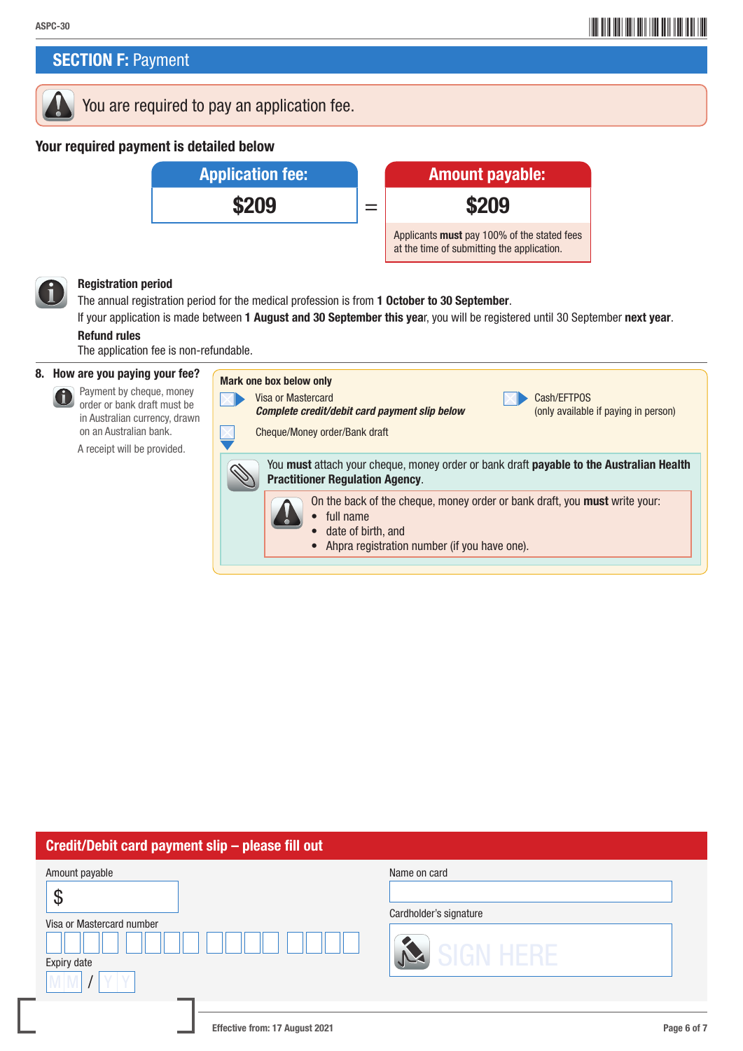### **SECTION F: Payment**

### You are required to pay an application fee.

### Your required payment is detailed below



#### Registration period

The annual registration period for the medical profession is from 1 October to 30 September.

Mark one box below only

If your application is made between 1 August and 30 September this year, you will be registered until 30 September next year. Refund rules

The application fee is non-refundable.

#### 8. How are you paying your fee?

 Payment by cheque, money order or bank draft must be in Australian currency, drawn on an Australian bank. A receipt will be provided.

Visa or Mastercard Cash/EFTPOS **Complete credit/debit card payment slip below** (only available if paying in person)

Cheque/Money order/Bank draft

You must attach your cheque, money order or bank draft payable to the Australian Health Practitioner Regulation Agency. On the back of the cheque, money order or bank draft, you **must** write your: • full name • date of birth, and • Ahpra registration number (if you have one).

| Credit/Debit card payment slip - please fill out                |                                                     |
|-----------------------------------------------------------------|-----------------------------------------------------|
| Amount payable<br>P<br>Visa or Mastercard number<br>Expiry date | Name on card<br>Cardholder's signature<br>SIGN HERE |
|                                                                 |                                                     |